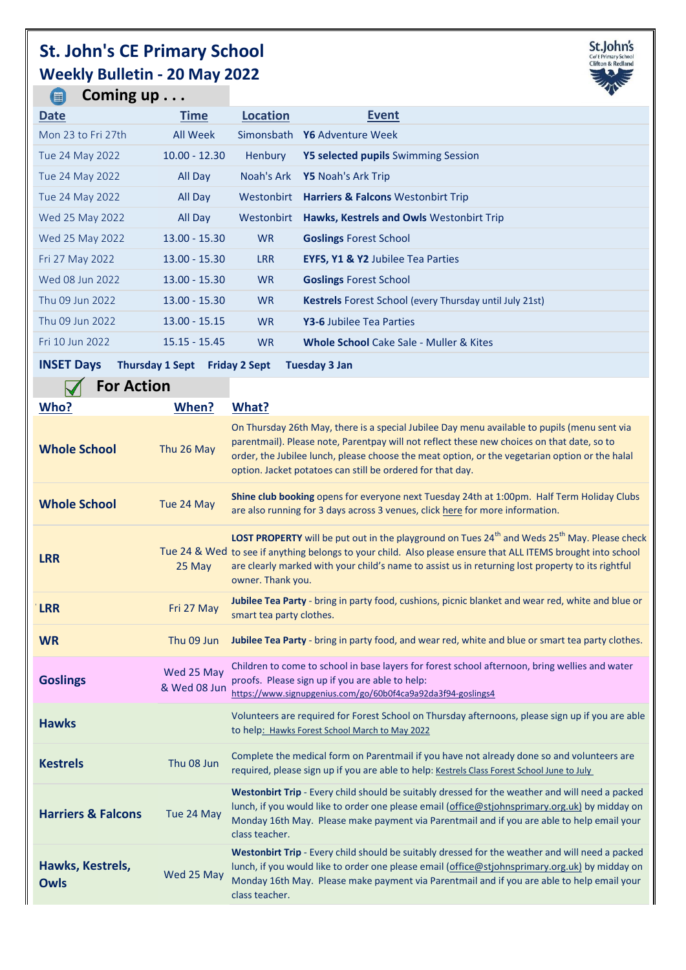## **St. John's CE Primary School Weekly Bulletin - 20 May 2022**



| Coming up<br>【■】                                                     |                 |                 |                                                                | <b>V</b> |  |
|----------------------------------------------------------------------|-----------------|-----------------|----------------------------------------------------------------|----------|--|
| <b>Date</b>                                                          | <b>Time</b>     | <b>Location</b> | <b>Event</b>                                                   |          |  |
| Mon 23 to Fri 27th                                                   | All Week        |                 | Simonsbath Y6 Adventure Week                                   |          |  |
| Tue 24 May 2022                                                      | $10.00 - 12.30$ | <b>Henbury</b>  | <b>Y5 selected pupils</b> Swimming Session                     |          |  |
| Tue 24 May 2022                                                      | All Day         | Noah's Ark      | <b>Y5</b> Noah's Ark Trip                                      |          |  |
| Tue 24 May 2022                                                      | All Day         | Westonbirt      | <b>Harriers &amp; Falcons Westonbirt Trip</b>                  |          |  |
| Wed 25 May 2022                                                      | All Day         | Westonbirt      | Hawks, Kestrels and Owls Westonbirt Trip                       |          |  |
| Wed 25 May 2022                                                      | $13.00 - 15.30$ | <b>WR</b>       | <b>Goslings Forest School</b>                                  |          |  |
| Fri 27 May 2022                                                      | $13.00 - 15.30$ | <b>LRR</b>      | <b>EYFS, Y1 &amp; Y2 Jubilee Tea Parties</b>                   |          |  |
| Wed 08 Jun 2022                                                      | $13.00 - 15.30$ | <b>WR</b>       | <b>Goslings Forest School</b>                                  |          |  |
| Thu 09 Jun 2022                                                      | $13.00 - 15.30$ | <b>WR</b>       | <b>Kestrels</b> Forest School (every Thursday until July 21st) |          |  |
| Thu 09 Jun 2022                                                      | $13.00 - 15.15$ | <b>WR</b>       | <b>Y3-6 Jubilee Tea Parties</b>                                |          |  |
| Fri 10 Jun 2022                                                      | $15.15 - 15.45$ | <b>WR</b>       | <b>Whole School</b> Cake Sale - Muller & Kites                 |          |  |
| INICET $D_{21}$<br>Thomas A.Comb., Fulder: O.Comb., Trippeden: O.Jam |                 |                 |                                                                |          |  |

**INSET Days Thursday 1 Sept Friday 2 Sept Tuesday 3 Jan**

| <b>For Action</b>             |                            |                                                                                                                                                                                                                                                                                                                                                                |
|-------------------------------|----------------------------|----------------------------------------------------------------------------------------------------------------------------------------------------------------------------------------------------------------------------------------------------------------------------------------------------------------------------------------------------------------|
| Who?                          | When?                      | What?                                                                                                                                                                                                                                                                                                                                                          |
| <b>Whole School</b>           | Thu 26 May                 | On Thursday 26th May, there is a special Jubilee Day menu available to pupils (menu sent via<br>parentmail). Please note, Parentpay will not reflect these new choices on that date, so to<br>order, the Jubilee lunch, please choose the meat option, or the vegetarian option or the halal<br>option. Jacket potatoes can still be ordered for that day.     |
| <b>Whole School</b>           | Tue 24 May                 | Shine club booking opens for everyone next Tuesday 24th at 1:00pm. Half Term Holiday Clubs<br>are also running for 3 days across 3 venues, click here for more information.                                                                                                                                                                                    |
| <b>LRR</b>                    | 25 May                     | LOST PROPERTY will be put out in the playground on Tues 24 <sup>th</sup> and Weds 25 <sup>th</sup> May. Please check<br>Tue 24 & Wed to see if anything belongs to your child. Also please ensure that ALL ITEMS brought into school<br>are clearly marked with your child's name to assist us in returning lost property to its rightful<br>owner. Thank you. |
| <b>LRR</b>                    | Fri 27 May                 | Jubilee Tea Party - bring in party food, cushions, picnic blanket and wear red, white and blue or<br>smart tea party clothes.                                                                                                                                                                                                                                  |
| <b>WR</b>                     | Thu 09 Jun                 | Jubilee Tea Party - bring in party food, and wear red, white and blue or smart tea party clothes.                                                                                                                                                                                                                                                              |
| <b>Goslings</b>               | Wed 25 May<br>& Wed 08 Jun | Children to come to school in base layers for forest school afternoon, bring wellies and water<br>proofs. Please sign up if you are able to help:<br>https://www.signupgenius.com/go/60b0f4ca9a92da3f94-goslings4                                                                                                                                              |
| <b>Hawks</b>                  |                            | Volunteers are required for Forest School on Thursday afternoons, please sign up if you are able<br>to help: Hawks Forest School March to May 2022                                                                                                                                                                                                             |
| <b>Kestrels</b>               | Thu 08 Jun                 | Complete the medical form on Parentmail if you have not already done so and volunteers are<br>required, please sign up if you are able to help: Kestrels Class Forest School June to July                                                                                                                                                                      |
| <b>Harriers &amp; Falcons</b> | Tue 24 May                 | Westonbirt Trip - Every child should be suitably dressed for the weather and will need a packed<br>lunch, if you would like to order one please email (office@stjohnsprimary.org.uk) by midday on<br>Monday 16th May. Please make payment via Parentmail and if you are able to help email your<br>class teacher.                                              |
| Hawks, Kestrels,<br>Owls      | Wed 25 May                 | Westonbirt Trip - Every child should be suitably dressed for the weather and will need a packed<br>lunch, if you would like to order one please email (office@stjohnsprimary.org.uk) by midday on<br>Monday 16th May. Please make payment via Parentmail and if you are able to help email your<br>class teacher.                                              |